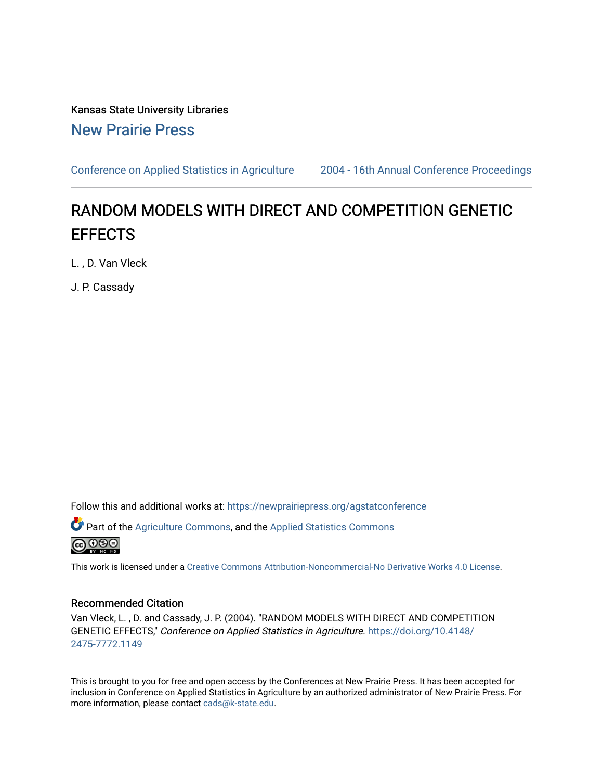Kansas State University Libraries [New Prairie Press](https://newprairiepress.org/) 

[Conference on Applied Statistics in Agriculture](https://newprairiepress.org/agstatconference) [2004 - 16th Annual Conference Proceedings](https://newprairiepress.org/agstatconference/2004) 

# RANDOM MODELS WITH DIRECT AND COMPETITION GENETIC **EFFECTS**

L. , D. Van Vleck

J. P. Cassady

Follow this and additional works at: [https://newprairiepress.org/agstatconference](https://newprairiepress.org/agstatconference?utm_source=newprairiepress.org%2Fagstatconference%2F2004%2Fproceedings%2F3&utm_medium=PDF&utm_campaign=PDFCoverPages)

Part of the [Agriculture Commons](http://network.bepress.com/hgg/discipline/1076?utm_source=newprairiepress.org%2Fagstatconference%2F2004%2Fproceedings%2F3&utm_medium=PDF&utm_campaign=PDFCoverPages), and the [Applied Statistics Commons](http://network.bepress.com/hgg/discipline/209?utm_source=newprairiepress.org%2Fagstatconference%2F2004%2Fproceedings%2F3&utm_medium=PDF&utm_campaign=PDFCoverPages) 



This work is licensed under a [Creative Commons Attribution-Noncommercial-No Derivative Works 4.0 License.](https://creativecommons.org/licenses/by-nc-nd/4.0/)

#### Recommended Citation

Van Vleck, L. , D. and Cassady, J. P. (2004). "RANDOM MODELS WITH DIRECT AND COMPETITION GENETIC EFFECTS," Conference on Applied Statistics in Agriculture. [https://doi.org/10.4148/](https://doi.org/10.4148/2475-7772.1149) [2475-7772.1149](https://doi.org/10.4148/2475-7772.1149) 

This is brought to you for free and open access by the Conferences at New Prairie Press. It has been accepted for inclusion in Conference on Applied Statistics in Agriculture by an authorized administrator of New Prairie Press. For more information, please contact [cads@k-state.edu](mailto:cads@k-state.edu).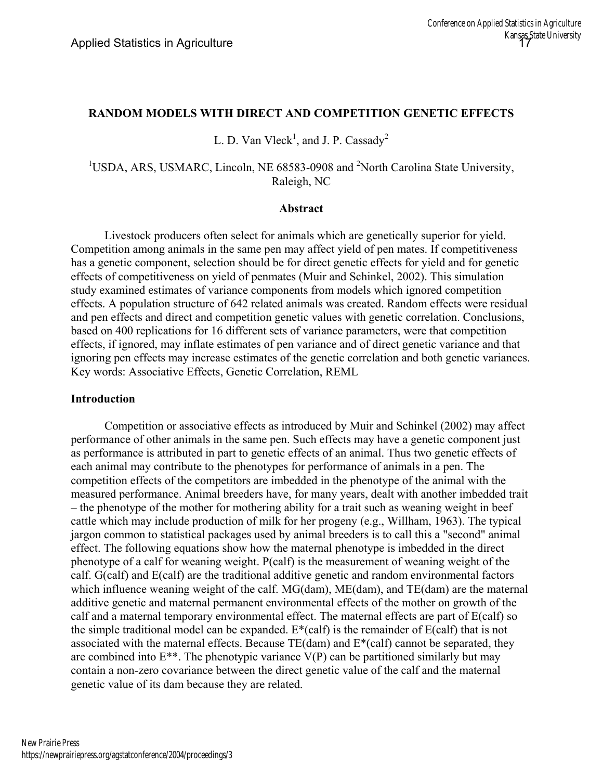### **RANDOM MODELS WITH DIRECT AND COMPETITION GENETIC EFFECTS**

L. D. Van Vleck<sup>1</sup>, and J. P. Cassady<sup>2</sup>

## <sup>1</sup>USDA, ARS, USMARC, Lincoln, NE 68583-0908 and <sup>2</sup>North Carolina State University, Raleigh, NC

#### **Abstract**

 Livestock producers often select for animals which are genetically superior for yield. Competition among animals in the same pen may affect yield of pen mates. If competitiveness has a genetic component, selection should be for direct genetic effects for yield and for genetic effects of competitiveness on yield of penmates (Muir and Schinkel, 2002). This simulation study examined estimates of variance components from models which ignored competition effects. A population structure of 642 related animals was created. Random effects were residual and pen effects and direct and competition genetic values with genetic correlation. Conclusions, based on 400 replications for 16 different sets of variance parameters, were that competition effects, if ignored, may inflate estimates of pen variance and of direct genetic variance and that ignoring pen effects may increase estimates of the genetic correlation and both genetic variances. Key words: Associative Effects, Genetic Correlation, REML

#### **Introduction**

 Competition or associative effects as introduced by Muir and Schinkel (2002) may affect performance of other animals in the same pen. Such effects may have a genetic component just as performance is attributed in part to genetic effects of an animal. Thus two genetic effects of each animal may contribute to the phenotypes for performance of animals in a pen. The competition effects of the competitors are imbedded in the phenotype of the animal with the measured performance. Animal breeders have, for many years, dealt with another imbedded trait – the phenotype of the mother for mothering ability for a trait such as weaning weight in beef cattle which may include production of milk for her progeny (e.g., Willham, 1963). The typical jargon common to statistical packages used by animal breeders is to call this a "second" animal effect. The following equations show how the maternal phenotype is imbedded in the direct phenotype of a calf for weaning weight. P(calf) is the measurement of weaning weight of the calf. G(calf) and E(calf) are the traditional additive genetic and random environmental factors which influence weaning weight of the calf. MG(dam), ME(dam), and TE(dam) are the maternal additive genetic and maternal permanent environmental effects of the mother on growth of the calf and a maternal temporary environmental effect. The maternal effects are part of E(calf) so the simple traditional model can be expanded. E\*(calf) is the remainder of E(calf) that is not associated with the maternal effects. Because  $TE(dam)$  and  $E^*(cal)$  cannot be separated, they are combined into  $E^{**}$ . The phenotypic variance  $V(P)$  can be partitioned similarly but may contain a non-zero covariance between the direct genetic value of the calf and the maternal genetic value of its dam because they are related.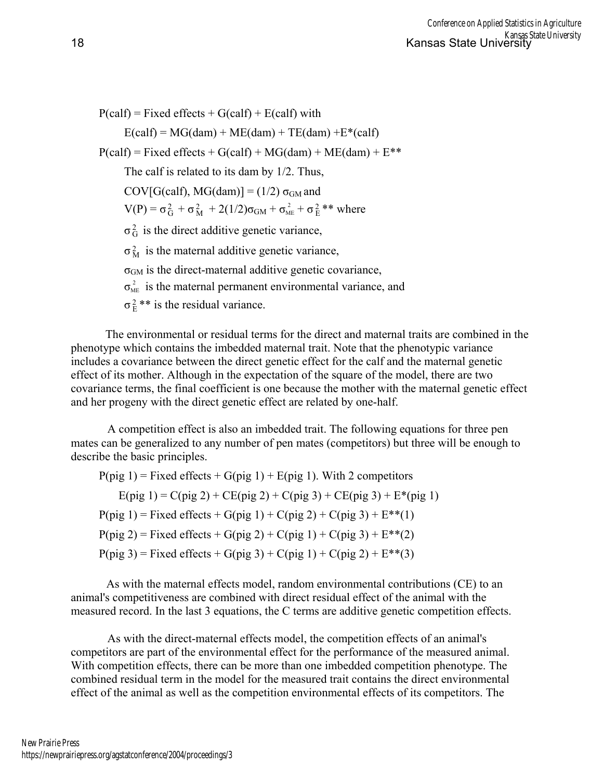$P(\text{calf}) = \text{Fixed effects} + G(\text{calf}) + E(\text{calf})$  with  $E(\text{calf}) = MG(dam) + ME(dam) + TE(dam) + E*(calf)$  $P(calf) = Fixed effects + G(calf) + MG(dam) + ME(dam) + E**$  The calf is related to its dam by 1/2. Thus, COV[G(calf), MG(dam)] =  $(1/2)$   $\sigma$ <sub>GM</sub> and  $V(P) = \sigma_G^2 + \sigma_M^2 + 2(1/2)\sigma_{GM} + \sigma_{ME}^2 + \sigma_E^2$  \*\* where  $\sigma_G^2$  is the direct additive genetic variance,  $\sigma_M^2$  is the maternal additive genetic variance,  $\sigma$ <sub>GM</sub> is the direct-maternal additive genetic covariance,  $\sigma_{ME}^2$  is the maternal permanent environmental variance, and  $\sigma_{\rm E}^2$  \*\* is the residual variance.

 The environmental or residual terms for the direct and maternal traits are combined in the phenotype which contains the imbedded maternal trait. Note that the phenotypic variance includes a covariance between the direct genetic effect for the calf and the maternal genetic effect of its mother. Although in the expectation of the square of the model, there are two covariance terms, the final coefficient is one because the mother with the maternal genetic effect and her progeny with the direct genetic effect are related by one-half.

 A competition effect is also an imbedded trait. The following equations for three pen mates can be generalized to any number of pen mates (competitors) but three will be enough to describe the basic principles.

 $P(pig 1)$  = Fixed effects + G(pig 1) + E(pig 1). With 2 competitors  $E(pig 1) = C(pig 2) + CE(pig 2) + C(pig 3) + CE(pig 3) + E*(pig 1)$  $P(pig 1) = Fixed effects + G(pig 1) + C(pig 2) + C(pig 3) + E^{**}(1)$  $P(pig 2) =$  Fixed effects + G(pig 2) + C(pig 1) + C(pig 3) +  $E^{**}(2)$  $P(pig 3) = Fixed effects + G(pig 3) + C(pig 1) + C(pig 2) + E^{**}(3)$ 

 As with the maternal effects model, random environmental contributions (CE) to an animal's competitiveness are combined with direct residual effect of the animal with the measured record. In the last 3 equations, the C terms are additive genetic competition effects.

 As with the direct-maternal effects model, the competition effects of an animal's competitors are part of the environmental effect for the performance of the measured animal. With competition effects, there can be more than one imbedded competition phenotype. The combined residual term in the model for the measured trait contains the direct environmental effect of the animal as well as the competition environmental effects of its competitors. The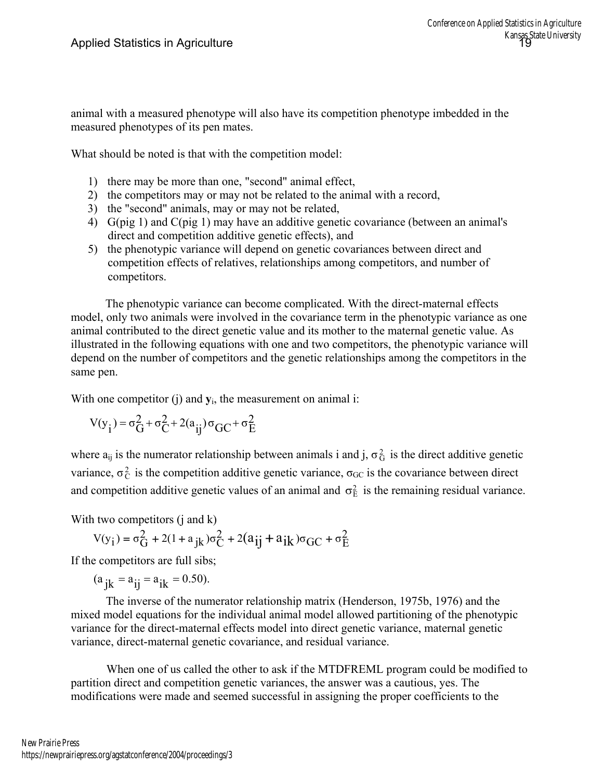animal with a measured phenotype will also have its competition phenotype imbedded in the measured phenotypes of its pen mates.

What should be noted is that with the competition model:

- 1) there may be more than one, "second" animal effect,
- 2) the competitors may or may not be related to the animal with a record,
- 3) the "second" animals, may or may not be related,
- 4) G(pig 1) and C(pig 1) may have an additive genetic covariance (between an animal's direct and competition additive genetic effects), and
- 5) the phenotypic variance will depend on genetic covariances between direct and competition effects of relatives, relationships among competitors, and number of competitors.

 The phenotypic variance can become complicated. With the direct-maternal effects model, only two animals were involved in the covariance term in the phenotypic variance as one animal contributed to the direct genetic value and its mother to the maternal genetic value. As illustrated in the following equations with one and two competitors, the phenotypic variance will depend on the number of competitors and the genetic relationships among the competitors in the same pen.

With one competitor (j) and  $y_i$ , the measurement on animal i:

$$
V(y_i) = \sigma_G^2 + \sigma_C^2 + 2(a_{ij})\sigma_{GC} + \sigma_E^2
$$

where  $a_{ij}$  is the numerator relationship between animals i and j,  $\sigma_G^2$  is the direct additive genetic variance,  $\sigma_C^2$  is the competition additive genetic variance,  $\sigma_{GC}$  is the covariance between direct and competition additive genetic values of an animal and  $\sigma_{\rm E}^2$  is the remaining residual variance.

With two competitors (*j* and *k*)

$$
V(y_i) = \sigma_G^2 + 2(1 + a_{jk})\sigma_C^2 + 2(a_{ij} + a_{ik})\sigma_{GC} + \sigma_E^2
$$

If the competitors are full sibs;

 $(a_{jk} = a_{ij} = a_{ik} = 0.50)$ .

The inverse of the numerator relationship matrix (Henderson, 1975b, 1976) and the mixed model equations for the individual animal model allowed partitioning of the phenotypic variance for the direct-maternal effects model into direct genetic variance, maternal genetic variance, direct-maternal genetic covariance, and residual variance.

 When one of us called the other to ask if the MTDFREML program could be modified to partition direct and competition genetic variances, the answer was a cautious, yes. The modifications were made and seemed successful in assigning the proper coefficients to the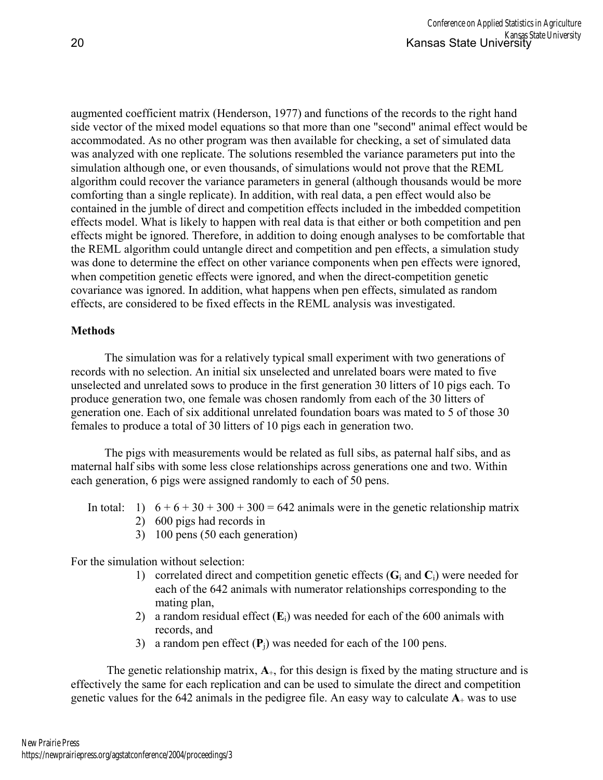augmented coefficient matrix (Henderson, 1977) and functions of the records to the right hand side vector of the mixed model equations so that more than one "second" animal effect would be accommodated. As no other program was then available for checking, a set of simulated data was analyzed with one replicate. The solutions resembled the variance parameters put into the simulation although one, or even thousands, of simulations would not prove that the REML algorithm could recover the variance parameters in general (although thousands would be more comforting than a single replicate). In addition, with real data, a pen effect would also be contained in the jumble of direct and competition effects included in the imbedded competition effects model. What is likely to happen with real data is that either or both competition and pen effects might be ignored. Therefore, in addition to doing enough analyses to be comfortable that the REML algorithm could untangle direct and competition and pen effects, a simulation study was done to determine the effect on other variance components when pen effects were ignored, when competition genetic effects were ignored, and when the direct-competition genetic covariance was ignored. In addition, what happens when pen effects, simulated as random effects, are considered to be fixed effects in the REML analysis was investigated.

## **Methods**

 The simulation was for a relatively typical small experiment with two generations of records with no selection. An initial six unselected and unrelated boars were mated to five unselected and unrelated sows to produce in the first generation 30 litters of 10 pigs each. To produce generation two, one female was chosen randomly from each of the 30 litters of generation one. Each of six additional unrelated foundation boars was mated to 5 of those 30 females to produce a total of 30 litters of 10 pigs each in generation two.

 The pigs with measurements would be related as full sibs, as paternal half sibs, and as maternal half sibs with some less close relationships across generations one and two. Within each generation, 6 pigs were assigned randomly to each of 50 pens.

- In total: 1)  $6 + 6 + 30 + 300 + 300 = 642$  animals were in the genetic relationship matrix 2) 600 pigs had records in
	-
	- 3) 100 pens (50 each generation)

For the simulation without selection:

- 1) correlated direct and competition genetic effects (**G**i and **C**i) were needed for each of the 642 animals with numerator relationships corresponding to the mating plan,
- 2) a random residual effect (**E**i) was needed for each of the 600 animals with records, and
- 3) a random pen effect (**P**j) was needed for each of the 100 pens.

The genetic relationship matrix,  $A_{+}$ , for this design is fixed by the mating structure and is effectively the same for each replication and can be used to simulate the direct and competition genetic values for the  $642$  animals in the pedigree file. An easy way to calculate  $A_+$  was to use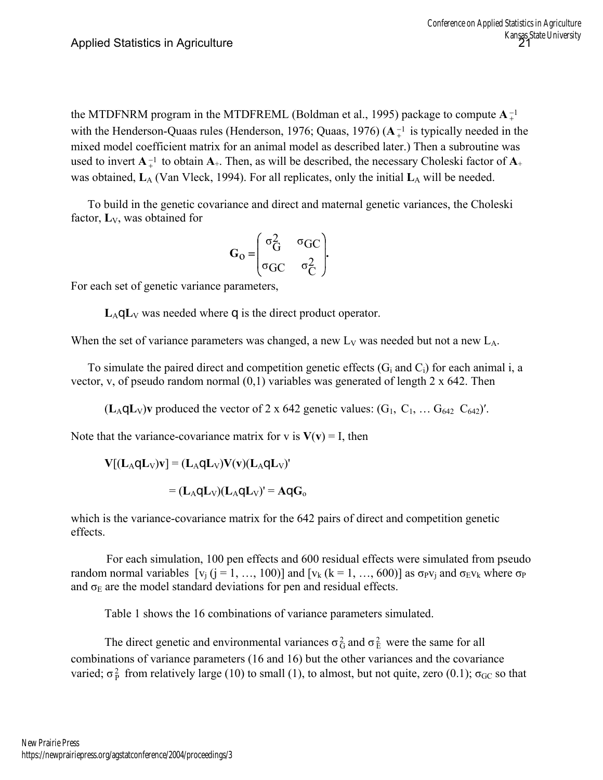the MTDFNRM program in the MTDFREML (Boldman et al., 1995) package to compute  $A_{+}^{-1}$ with the Henderson-Quaas rules (Henderson, 1976; Quaas, 1976)  $(A_+^{-1}$  is typically needed in the mixed model coefficient matrix for an animal model as described later.) Then a subroutine was used to invert  $A^{-1}$  to obtain  $A^{+}$ . Then, as will be described, the necessary Choleski factor of  $A^{+}$ was obtained,  $L_A$  (Van Vleck, 1994). For all replicates, only the initial  $L_A$  will be needed.

 To build in the genetic covariance and direct and maternal genetic variances, the Choleski factor, **L**V, was obtained for

$$
G_0 = \begin{pmatrix} \sigma_G^2 & \sigma_{GC} \\ \sigma_{GC} & \sigma_C^2 \end{pmatrix}.
$$

For each set of genetic variance parameters,

 $L_A \triangleleft L_V$  was needed where  $\triangleleft$  is the direct product operator.

When the set of variance parameters was changed, a new  $L_V$  was needed but not a new  $L_A$ .

To simulate the paired direct and competition genetic effects  $(G<sub>i</sub>$  and  $C<sub>i</sub>)$  for each animal i, a vector, v, of pseudo random normal (0,1) variables was generated of length 2 x 642. Then

 $(L_A \mathcal{Q} L_V)$ **v** produced the vector of 2 x 642 genetic values:  $(G_1, C_1, \ldots, G_{642} C_{642})'$ .

Note that the variance-covariance matrix for v is  $V(v) = I$ , then

$$
\mathbf{V}[(\mathbf{L}_{A}\mathbf{Q}\mathbf{L}_{V})\mathbf{v}] = (\mathbf{L}_{A}\mathbf{Q}\mathbf{L}_{V})\mathbf{V}(\mathbf{v})(\mathbf{L}_{A}\mathbf{Q}\mathbf{L}_{V})'
$$

$$
= (\mathbf{L}_{A}\mathbf{Q}\mathbf{L}_{V})(\mathbf{L}_{A}\mathbf{Q}\mathbf{L}_{V})' = \mathbf{A}\mathbf{Q}\mathbf{G}_{o}
$$

which is the variance-covariance matrix for the 642 pairs of direct and competition genetic effects.

 For each simulation, 100 pen effects and 600 residual effects were simulated from pseudo random normal variables  $[v_i (j = 1, ..., 100)]$  and  $[v_k (k = 1, ..., 600)]$  as  $\sigma_{p}v_i$  and  $\sigma_{E}v_k$  where  $\sigma_{p}$ and  $\sigma_E$  are the model standard deviations for pen and residual effects.

Table 1 shows the 16 combinations of variance parameters simulated.

The direct genetic and environmental variances  $\sigma_G^2$  and  $\sigma_E^2$  were the same for all combinations of variance parameters (16 and 16) but the other variances and the covariance varied;  $\sigma_p^2$  from relatively large (10) to small (1), to almost, but not quite, zero (0.1);  $\sigma_{GC}$  so that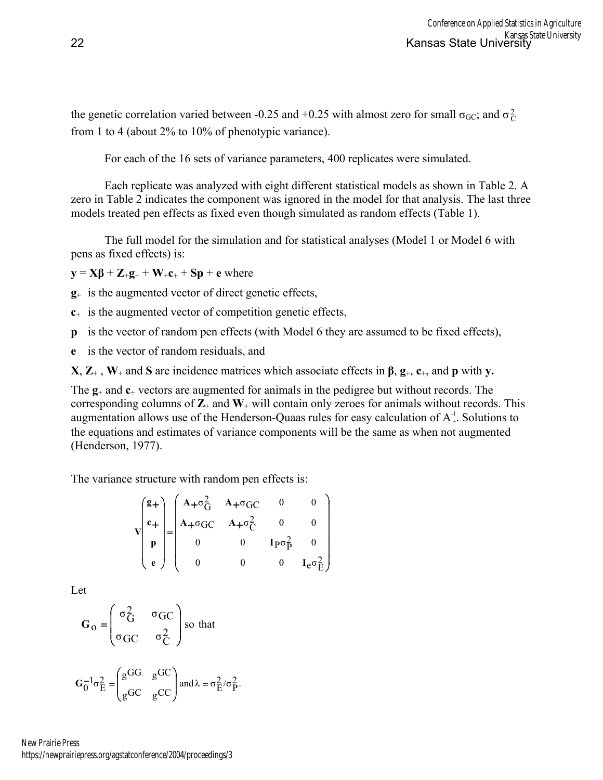the genetic correlation varied between -0.25 and +0.25 with almost zero for small  $\sigma_{GC}$ ; and  $\sigma_C^2$ from 1 to 4 (about 2% to 10% of phenotypic variance).

For each of the 16 sets of variance parameters, 400 replicates were simulated.

 Each replicate was analyzed with eight different statistical models as shown in Table 2. A zero in Table 2 indicates the component was ignored in the model for that analysis. The last three models treated pen effects as fixed even though simulated as random effects (Table 1).

 The full model for the simulation and for statistical analyses (Model 1 or Model 6 with pens as fixed effects) is:

 $\mathbf{y} = \mathbf{X}\boldsymbol{\beta} + \mathbf{Z}_+\mathbf{g}_+ + \mathbf{W}_+\mathbf{c}_+ + \mathbf{S}\mathbf{p} + \mathbf{e}$  where

**g**+ is the augmented vector of direct genetic effects,

**c**+ is the augmented vector of competition genetic effects,

**p** is the vector of random pen effects (with Model 6 they are assumed to be fixed effects),

**e** is the vector of random residuals, and

**X**,  $\mathbf{Z}_+$ ,  $\mathbf{W}_+$  and  $\mathbf{S}$  are incidence matrices which associate effects in  $\beta$ ,  $\mathbf{g}_+$ ,  $\mathbf{c}_+$ , and  $\mathbf{p}$  with  $\mathbf{v}$ .

The **g**+ and **c**+ vectors are augmented for animals in the pedigree but without records. The corresponding columns of  $\mathbb{Z}_+$  and  $\mathbb{W}_+$  will contain only zeroes for animals without records. This augmentation allows use of the Henderson-Quaas rules for easy calculation of  $A^1_+$ . Solutions to the equations and estimates of variance components will be the same as when not augmented (Henderson, 1977).

The variance structure with random pen effects is:

$$
\mathbf{v} \begin{pmatrix} \mathbf{g} + \\ \mathbf{c} + \\ \mathbf{p} \\ \mathbf{e} \end{pmatrix} = \begin{pmatrix} \mathbf{A} + \sigma_{\mathbf{G}}^2 & \mathbf{A} + \sigma_{\mathbf{G}}C & 0 & 0 \\ \mathbf{A} + \sigma_{\mathbf{G}}C & \mathbf{A} + \sigma_{\mathbf{C}}^2 & 0 & 0 \\ 0 & 0 & \mathbf{I}_{\mathbf{P}}\sigma_{\mathbf{P}}^2 & 0 \\ 0 & 0 & 0 & \mathbf{I}_{\mathbf{e}}\sigma_{\mathbf{E}}^2 \end{pmatrix}
$$

Let

$$
G_{0} = \begin{pmatrix} \sigma_{G}^{2} & \sigma_{GC} \\ \sigma_{GC} & \sigma_{C}^{2} \end{pmatrix}
$$
 so that  

$$
G_{0}^{-1}\sigma_{E}^{2} = \begin{pmatrix} g^{GG} & g^{GC} \\ g^{GC} & g^{CC} \end{pmatrix}
$$
 and  $\lambda = \sigma_{E}^{2}/\sigma_{P}^{2}$ .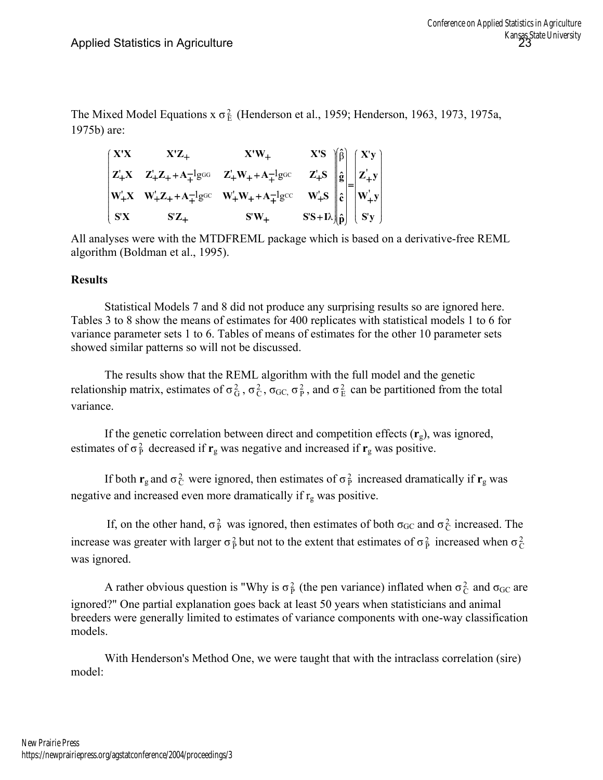The Mixed Model Equations  $x \sigma_E^2$  (Henderson et al., 1959; Henderson, 1963, 1973, 1975a, 1975b) are:

| $\mathbf{X}^{\prime}\mathbf{X}$ | $X'Z_{+}$                                              | $X'W_+$                                                                                                        |                                                                                                                                                                                                                                                |  |
|---------------------------------|--------------------------------------------------------|----------------------------------------------------------------------------------------------------------------|------------------------------------------------------------------------------------------------------------------------------------------------------------------------------------------------------------------------------------------------|--|
|                                 | $Z_+X$ $Z_+Z_+ + A_+^{-1}g$ GG $Z_+W_+ + A_+^{-1}g$ GC |                                                                                                                | X'S<br>Z_{S}<br>$\begin{bmatrix} \hat{\beta} \\ \hat{g} \\ w_+^iS \\ S^iS + I\lambda \end{bmatrix} \begin{bmatrix} X'y \\ \hat{g} \\ \hat{c} \\ \hat{c} \\ S^iY \end{bmatrix} = \begin{bmatrix} X'y \\ Z_+^iy \\ W_+^iy \\ S^iy \end{bmatrix}$ |  |
|                                 |                                                        | $\begin{vmatrix} W_{+}^{'}X & W_{+}^{'}Z_{+}+A_{+}^{-1}g^{GC} & W_{+}^{'}W_{+}+A_{+}^{-1}g^{cc} \end{vmatrix}$ |                                                                                                                                                                                                                                                |  |
| S'X                             | $\mathbf{S}^{\prime} \mathbf{Z}_{+}$                   | $S'W_+$                                                                                                        |                                                                                                                                                                                                                                                |  |

All analyses were with the MTDFREML package which is based on a derivative-free REML algorithm (Boldman et al., 1995).

## **Results**

 Statistical Models 7 and 8 did not produce any surprising results so are ignored here. Tables 3 to 8 show the means of estimates for 400 replicates with statistical models 1 to 6 for variance parameter sets 1 to 6. Tables of means of estimates for the other 10 parameter sets showed similar patterns so will not be discussed.

 The results show that the REML algorithm with the full model and the genetic relationship matrix, estimates of  $\sigma_G^2$ ,  $\sigma_G^2$ ,  $\sigma_{GC}$ ,  $\sigma_P^2$ , and  $\sigma_E^2$  can be partitioned from the total variance.

If the genetic correlation between direct and competition effects  $(\mathbf{r}_g)$ , was ignored, estimates of  $\sigma_p^2$  decreased if  $\mathbf{r}_g$  was negative and increased if  $\mathbf{r}_g$  was positive.

If both  $\mathbf{r}_g$  and  $\sigma_C^2$  were ignored, then estimates of  $\sigma_P^2$  increased dramatically if  $\mathbf{r}_g$  was negative and increased even more dramatically if  $r_g$  was positive.

If, on the other hand,  $\sigma_{\rm p}^2$  was ignored, then estimates of both  $\sigma_{\rm GC}$  and  $\sigma_{\rm C}^2$  increased. The increase was greater with larger  $\sigma_p^2$  but not to the extent that estimates of  $\sigma_p^2$  increased when  $\sigma_c^2$ was ignored.

A rather obvious question is "Why is  $\sigma_P^2$  (the pen variance) inflated when  $\sigma_C^2$  and  $\sigma_{GC}$  are ignored?" One partial explanation goes back at least 50 years when statisticians and animal breeders were generally limited to estimates of variance components with one-way classification models.

 With Henderson's Method One, we were taught that with the intraclass correlation (sire) model: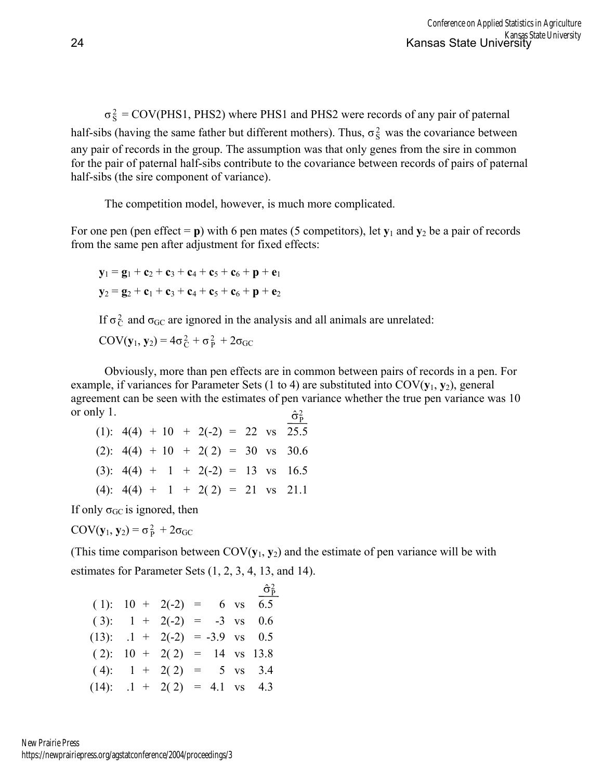$\sigma_S^2$  = COV(PHS1, PHS2) where PHS1 and PHS2 were records of any pair of paternal half-sibs (having the same father but different mothers). Thus,  $\sigma_S^2$  was the covariance between any pair of records in the group. The assumption was that only genes from the sire in common for the pair of paternal half-sibs contribute to the covariance between records of pairs of paternal half-sibs (the sire component of variance).

The competition model, however, is much more complicated.

For one pen (pen effect  $=$  **p**) with 6 pen mates (5 competitors), let  $y_1$  and  $y_2$  be a pair of records from the same pen after adjustment for fixed effects:

$$
y_1 = g_1 + c_2 + c_3 + c_4 + c_5 + c_6 + p + e_1
$$
  

$$
y_2 = g_2 + c_1 + c_3 + c_4 + c_5 + c_6 + p + e_2
$$

If  $\sigma_C^2$  and  $\sigma_{GC}$  are ignored in the analysis and all animals are unrelated:

 $COV(y_1, y_2) = 4\sigma_C^2 + \sigma_P^2 + 2\sigma_{GC}$ 

 $\hat{\sigma}_{\rm P}^2$ Obviously, more than pen effects are in common between pairs of records in a pen. For example, if variances for Parameter Sets (1 to 4) are substituted into COV(**y**1, **y**2), general agreement can be seen with the estimates of pen variance whether the true pen variance was 10 or only 1.

| (1): $4(4) + 10 + 2(-2) = 22$ vs 25.5 |  |  |  |  |
|---------------------------------------|--|--|--|--|
| $(2): 4(4) + 10 + 2(2) = 30$ vs 30.6  |  |  |  |  |
| $(3): 4(4) + 1 + 2(-2) = 13$ vs 16.5  |  |  |  |  |
| $(4): 4(4) + 1 + 2(2) = 21$ vs 21.1   |  |  |  |  |

If only  $\sigma$ <sub>GC</sub> is ignored, then

 $COV(y_1, y_2) = \sigma_p^2 + 2\sigma_{GC}$ 

(This time comparison between COV(**y**1, **y**2) and the estimate of pen variance will be with estimates for Parameter Sets (1, 2, 3, 4, 13, and 14).

|                                  |  |  | $\hat{\sigma}_{\rm p}^2$ |
|----------------------------------|--|--|--------------------------|
| $(1): 10 + 2(-2) = 6$ vs 6.5     |  |  |                          |
| $(3):$ 1 + 2(-2) = -3 vs 0.6     |  |  |                          |
| $(13):$ .1 + 2(-2) = -3.9 vs 0.5 |  |  |                          |
| $(2): 10 + 2(2) = 14$ vs 13.8    |  |  |                          |
| $(4):$ 1 + 2(2) = 5 vs 3.4       |  |  |                          |
| $(14):$ .1 + 2(2) = 4.1 vs 4.3   |  |  |                          |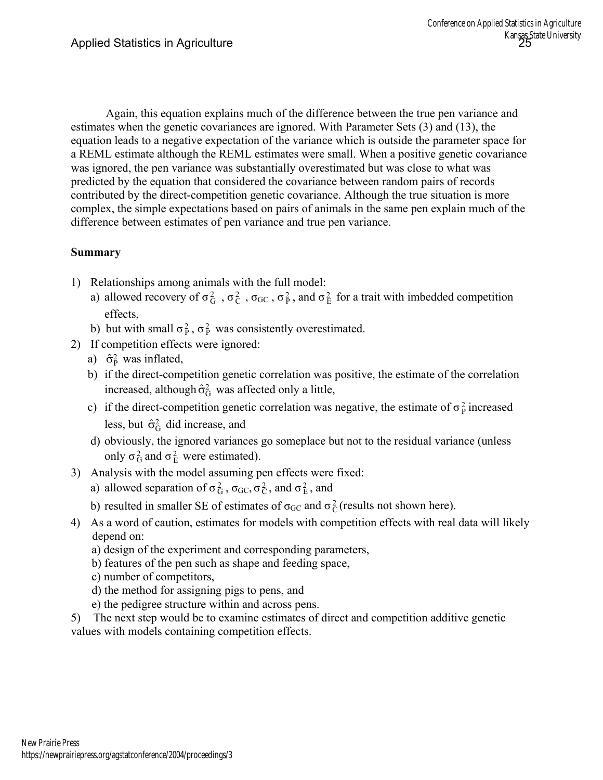Again, this equation explains much of the difference between the true pen variance and estimates when the genetic covariances are ignored. With Parameter Sets (3) and (13), the equation leads to a negative expectation of the variance which is outside the parameter space for a REML estimate although the REML estimates were small. When a positive genetic covariance was ignored, the pen variance was substantially overestimated but was close to what was predicted by the equation that considered the covariance between random pairs of records contributed by the direct-competition genetic covariance. Although the true situation is more complex, the simple expectations based on pairs of animals in the same pen explain much of the difference between estimates of pen variance and true pen variance.

# **Summary**

- 1) Relationships among animals with the full model:
- a) allowed recovery of  $\sigma_G^2$ ,  $\sigma_C^2$ ,  $\sigma_{GC}$ ,  $\sigma_P^2$ , and  $\sigma_E^2$  for a trait with imbedded competition effects,
- b) but with small  $\sigma_p^2$ ,  $\sigma_p^2$  was consistently overestimated.
- 2) If competition effects were ignored:
- a)  $\hat{\sigma}_{\text{P}}^2$  was inflated,
	- b) if the direct-competition genetic correlation was positive, the estimate of the correlation increased, although  $\hat{\sigma}_G^2$  was affected only a little,
- c) if the direct-competition genetic correlation was negative, the estimate of  $\sigma_p^2$  increased less, but  $\hat{\sigma}_{G}^{2}$  did increase, and
	- d) obviously, the ignored variances go someplace but not to the residual variance (unless only  $\sigma_G^2$  and  $\sigma_E^2$  were estimated).
- 3) Analysis with the model assuming pen effects were fixed:
- a) allowed separation of  $\sigma_G^2$ ,  $\sigma_{GC}$ ,  $\sigma_C^2$ , and  $\sigma_E^2$ , and
- b) resulted in smaller SE of estimates of  $\sigma_{GC}$  and  $\sigma_C^2$  (results not shown here).
- 4) As a word of caution, estimates for models with competition effects with real data will likely depend on:
	- a) design of the experiment and corresponding parameters,
	- b) features of the pen such as shape and feeding space,
	- c) number of competitors,
	- d) the method for assigning pigs to pens, and
	- e) the pedigree structure within and across pens.
- 5) The next step would be to examine estimates of direct and competition additive genetic values with models containing competition effects.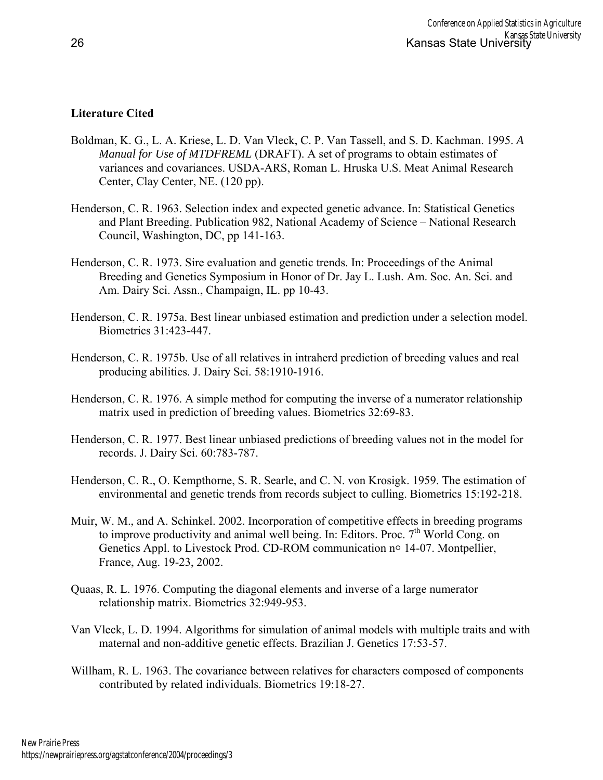# **Literature Cited**

- Boldman, K. G., L. A. Kriese, L. D. Van Vleck, C. P. Van Tassell, and S. D. Kachman. 1995. *A Manual for Use of MTDFREML* (DRAFT). A set of programs to obtain estimates of variances and covariances. USDA-ARS, Roman L. Hruska U.S. Meat Animal Research Center, Clay Center, NE. (120 pp).
- Henderson, C. R. 1963. Selection index and expected genetic advance. In: Statistical Genetics and Plant Breeding. Publication 982, National Academy of Science – National Research Council, Washington, DC, pp 141-163.
- Henderson, C. R. 1973. Sire evaluation and genetic trends. In: Proceedings of the Animal Breeding and Genetics Symposium in Honor of Dr. Jay L. Lush. Am. Soc. An. Sci. and Am. Dairy Sci. Assn., Champaign, IL. pp 10-43.
- Henderson, C. R. 1975a. Best linear unbiased estimation and prediction under a selection model. Biometrics 31:423-447.
- Henderson, C. R. 1975b. Use of all relatives in intraherd prediction of breeding values and real producing abilities. J. Dairy Sci. 58:1910-1916.
- Henderson, C. R. 1976. A simple method for computing the inverse of a numerator relationship matrix used in prediction of breeding values. Biometrics 32:69-83.
- Henderson, C. R. 1977. Best linear unbiased predictions of breeding values not in the model for records. J. Dairy Sci. 60:783-787.
- Henderson, C. R., O. Kempthorne, S. R. Searle, and C. N. von Krosigk. 1959. The estimation of environmental and genetic trends from records subject to culling. Biometrics 15:192-218.
- Muir, W. M., and A. Schinkel. 2002. Incorporation of competitive effects in breeding programs to improve productivity and animal well being. In: Editors. Proc.  $7<sup>th</sup>$  World Cong. on Genetics Appl. to Livestock Prod. CD-ROM communication no 14-07. Montpellier, France, Aug. 19-23, 2002.
- Quaas, R. L. 1976. Computing the diagonal elements and inverse of a large numerator relationship matrix. Biometrics 32:949-953.
- Van Vleck, L. D. 1994. Algorithms for simulation of animal models with multiple traits and with maternal and non-additive genetic effects. Brazilian J. Genetics 17:53-57.
- Willham, R. L. 1963. The covariance between relatives for characters composed of components contributed by related individuals. Biometrics 19:18-27.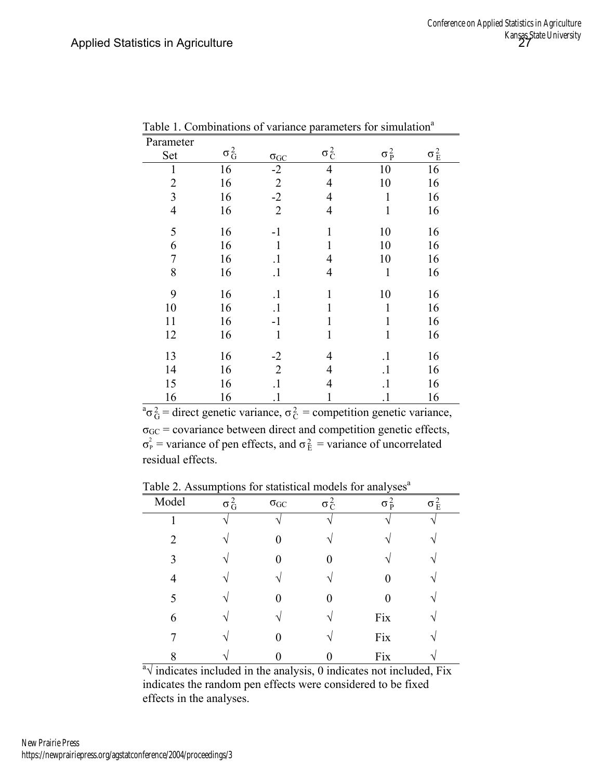| Parameter      |              |                |                |                    |              |
|----------------|--------------|----------------|----------------|--------------------|--------------|
| Set            | $\sigma_G^2$ | $\sigma_{GC}$  | $\sigma_C^2$   | $\sigma_{\rm p}^2$ | $\sigma_E^2$ |
| $\mathbf{1}$   | 16           | $-2$           | $\overline{4}$ | 10                 | 16           |
| $\overline{2}$ | 16           | $\overline{2}$ | 4              | 10                 | 16           |
| $\overline{3}$ | 16           | $-2$           | 4              | 1                  | 16           |
| $\overline{4}$ | 16           | $\overline{2}$ | 4              | 1                  | 16           |
| 5              | 16           | $-1$           | 1              | 10                 | 16           |
| 6              | 16           | 1              |                | 10                 | 16           |
| $\overline{7}$ | 16           | $\cdot$        | 4              | 10                 | 16           |
| 8              | 16           | $\cdot$        | 4              | 1                  | 16           |
| 9              | 16           | $\cdot$        |                | 10                 | 16           |
| 10             | 16           | $\cdot$        |                | 1                  | 16           |
| 11             | 16           | $-1$           | 1              | 1                  | 16           |
| 12             | 16           | $\mathbf{1}$   | $\mathbf{1}$   | $\mathbf{1}$       | 16           |
| 13             | 16           | $-2$           | 4              | $\cdot$            | 16           |
| 14             | 16           | $\overline{2}$ | 4              | $\cdot$            | 16           |
| 15             | 16           | $\cdot$        | 4              | $\cdot$            | 16           |
| 16             | 16           |                |                |                    | 16           |

Table 1. Combinations of variance parameters for simulation<sup>a</sup>

16 16 1 1 1 1 16<br>  ${}^{a} \sigma_{G}^{2}$  = direct genetic variance,  $\sigma_{C}^{2}$  = competition genetic variance,  $\sigma_{\rm GC}$  = covariance between direct and competition genetic effects,  $\sigma_P^2$  = variance of pen effects, and  $\sigma_E^2$  = variance of uncorrelated residual effects.

Table 2. Assumptions for statistical models for analyses $a$ 

| Model          | $\sigma_G^2$ | $\sigma_{GC}$ | $\sigma_C^2$      | $\sigma_P^2$ | $\sigma^2_{E}$ |
|----------------|--------------|---------------|-------------------|--------------|----------------|
|                |              | ٦             |                   |              |                |
| $\overline{2}$ | V            | 0             | $\mathbf{\hat{}}$ |              |                |
| 3              | $\mathbf{v}$ | ⋂             |                   |              |                |
| 4              | ٦            |               |                   |              |                |
| 5              |              |               |                   |              |                |
| 6              | N            |               |                   | Fix          |                |
|                |              |               |                   | Fix          |                |
| 8              |              |               |                   | Fix          |                |

8  $\sqrt{\frac{0}{0}}$  0 Fix  $\sqrt{\frac{0}{0}}$  Fix  $\sqrt{\frac{0}{0}}$  indicates not included, Fix indicates the random pen effects were considered to be fixed effects in the analyses.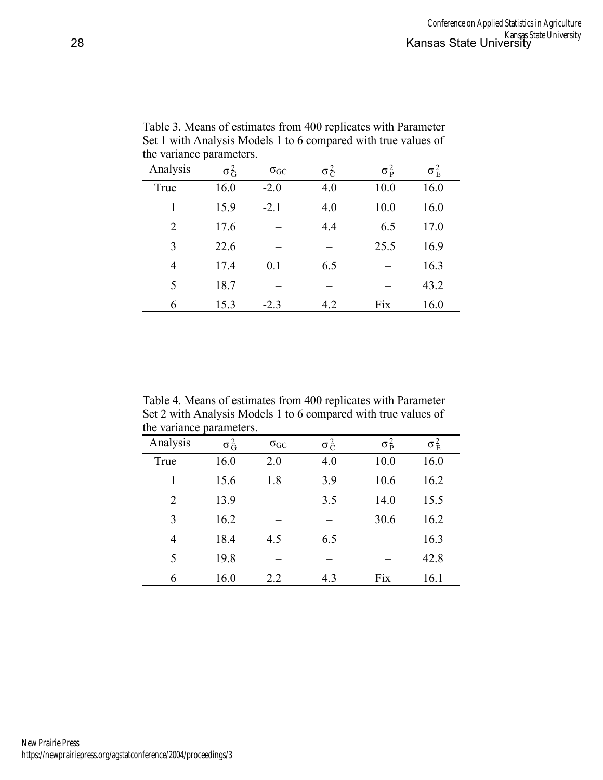| tin variante parameters. |              |               |              |                    |                    |  |  |
|--------------------------|--------------|---------------|--------------|--------------------|--------------------|--|--|
| Analysis                 | $\sigma_G^2$ | $\sigma_{GC}$ | $\sigma_C^2$ | $\sigma_{\rm p}^2$ | $\sigma_{\rm E}^2$ |  |  |
| True                     | 16.0         | $-2.0$        | 4.0          | 10.0               | 16.0               |  |  |
| 1                        | 15.9         | $-2.1$        | 4.0          | 10.0               | 16.0               |  |  |
| $\overline{2}$           | 17.6         |               | 4.4          | 6.5                | 17.0               |  |  |
| 3                        | 22.6         |               |              | 25.5               | 16.9               |  |  |
| $\overline{4}$           | 17.4         | 0.1           | 6.5          |                    | 16.3               |  |  |
| 5                        | 18.7         |               |              |                    | 43.2               |  |  |
| 6                        | 15.3         | $-2.3$        | 4.2          | Fix                | 16.0               |  |  |

Table 3. Means of estimates from 400 replicates with Parameter Set 1 with Analysis Models 1 to 6 compared with true values of the variance parameters.

Table 4. Means of estimates from 400 replicates with Parameter Set 2 with Analysis Models 1 to 6 compared with true values of the variance parameters.

| ulv tuliulivv  | purumvivro.  |               |              |                    |              |
|----------------|--------------|---------------|--------------|--------------------|--------------|
| Analysis       | $\sigma_G^2$ | $\sigma_{GC}$ | $\sigma_C^2$ | $\sigma_{\rm p}^2$ | $\sigma_E^2$ |
| True           | 16.0         | 2.0           | 4.0          | 10.0               | 16.0         |
| 1              | 15.6         | 1.8           | 3.9          | 10.6               | 16.2         |
| $\overline{2}$ | 13.9         |               | 3.5          | 14.0               | 15.5         |
| 3              | 16.2         |               |              | 30.6               | 16.2         |
| 4              | 18.4         | 4.5           | 6.5          |                    | 16.3         |
| 5              | 19.8         |               |              |                    | 42.8         |
| 6              | 16.0         | 2.2           | 4.3          | Fix                | 16.1         |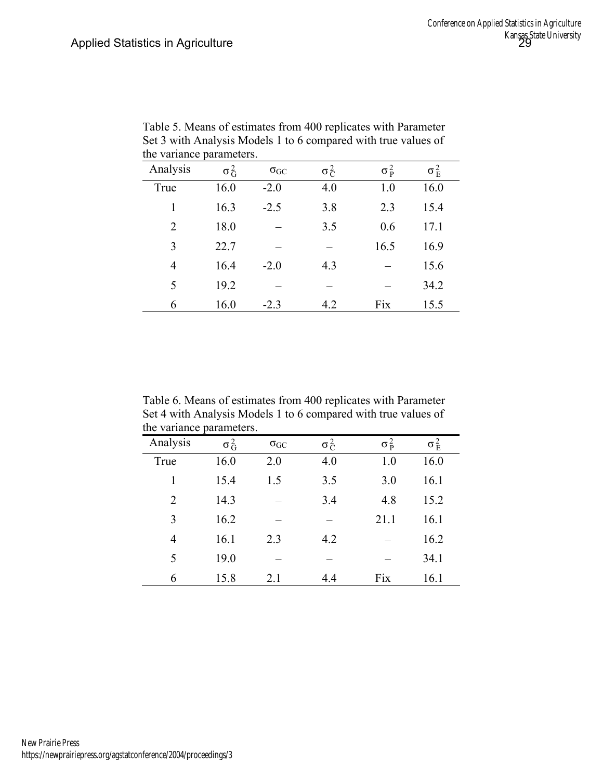| Analysis       | $\sigma_G^2$ | $\sigma_{GC}$ | $\sigma_C^2$ | $\sigma_{\rm p}^2$ | $\sigma_{\rm E}^2$ |
|----------------|--------------|---------------|--------------|--------------------|--------------------|
| True           | 16.0         | $-2.0$        | 4.0          | 1.0                | 16.0               |
| 1              | 16.3         | $-2.5$        | 3.8          | 2.3                | 15.4               |
| $\overline{2}$ | 18.0         |               | 3.5          | 0.6                | 17.1               |
| 3              | 22.7         |               |              | 16.5               | 16.9               |
| $\overline{4}$ | 16.4         | $-2.0$        | 4.3          |                    | 15.6               |
| 5              | 19.2         |               |              |                    | 34.2               |
| 6              | 16.0         | $-2.3$        | 4.2          | Fix                | 15.5               |

Table 5. Means of estimates from 400 replicates with Parameter Set 3 with Analysis Models 1 to 6 compared with true values of the variance parameters.

Table 6. Means of estimates from 400 replicates with Parameter Set 4 with Analysis Models 1 to 6 compared with true values of the variance parameters.

| Analysis       | $\sigma_G^2$ | $\sigma_{GC}$ | $\sigma_C^2$ | $\sigma_{\rm p}^2$ | $\sigma_E^2$ |
|----------------|--------------|---------------|--------------|--------------------|--------------|
| True           | 16.0         | 2.0           | 4.0          | 1.0                | 16.0         |
| 1              | 15.4         | 1.5           | 3.5          | 3.0                | 16.1         |
| $\overline{2}$ | 14.3         |               | 3.4          | 4.8                | 15.2         |
| 3              | 16.2         |               |              | 21.1               | 16.1         |
| 4              | 16.1         | 2.3           | 4.2          |                    | 16.2         |
| 5              | 19.0         |               |              |                    | 34.1         |
| 6              | 15.8         | 2.1           | 4.4          | Fix                | 16.1         |